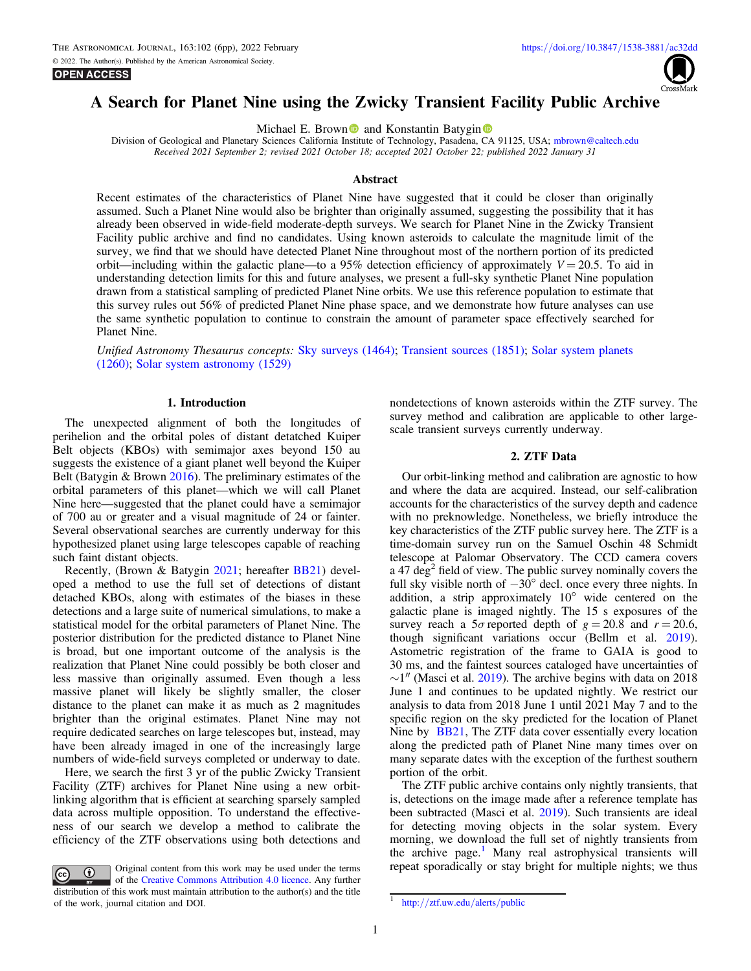

# A Search for Planet Nine using the Zwicky Transient Facility Public Archive

Michael E. Brow[n](https://orcid.org/0000-0002-7094-7908)  $\bullet$  and Konstantin Batygin  $\bullet$ 

Division of Geological and Planetary Sciences California Institute of Technology, Pasadena, CA 91125, USA; [mbrown@caltech.edu](mailto:mbrown@caltech.edu) Received 2021 September 2; revised 2021 October 18; accepted 2021 October 22; published 2022 January 31

#### Abstract

Recent estimates of the characteristics of Planet Nine have suggested that it could be closer than originally assumed. Such a Planet Nine would also be brighter than originally assumed, suggesting the possibility that it has already been observed in wide-field moderate-depth surveys. We search for Planet Nine in the Zwicky Transient Facility public archive and find no candidates. Using known asteroids to calculate the magnitude limit of the survey, we find that we should have detected Planet Nine throughout most of the northern portion of its predicted orbit—including within the galactic plane—to a 95% detection efficiency of approximately  $V = 20.5$ . To aid in understanding detection limits for this and future analyses, we present a full-sky synthetic Planet Nine population drawn from a statistical sampling of predicted Planet Nine orbits. We use this reference population to estimate that this survey rules out 56% of predicted Planet Nine phase space, and we demonstrate how future analyses can use the same synthetic population to continue to constrain the amount of parameter space effectively searched for Planet Nine.

Unified Astronomy Thesaurus concepts: [Sky surveys](http://astrothesaurus.org/uat/1464) (1464); [Transient sources](http://astrothesaurus.org/uat/1851) (1851); [Solar system planets](http://astrothesaurus.org/uat/1260) ([1260](http://astrothesaurus.org/uat/1260)); [Solar system astronomy](http://astrothesaurus.org/uat/1529) (1529)

### 1. Introduction

The unexpected alignment of both the longitudes of perihelion and the orbital poles of distant detatched Kuiper Belt objects (KBOs) with semimajor axes beyond 150 au suggests the existence of a giant planet well beyond the Kuiper Belt (Batygin & Brown [2016](#page-5-0)). The preliminary estimates of the orbital parameters of this planet—which we will call Planet Nine here—suggested that the planet could have a semimajor of 700 au or greater and a visual magnitude of 24 or fainter. Several observational searches are currently underway for this hypothesized planet using large telescopes capable of reaching such faint distant objects.

Recently, (Brown & Batygin [2021](#page-5-0); hereafter [BB21](#page-5-0)) developed a method to use the full set of detections of distant detached KBOs, along with estimates of the biases in these detections and a large suite of numerical simulations, to make a statistical model for the orbital parameters of Planet Nine. The posterior distribution for the predicted distance to Planet Nine is broad, but one important outcome of the analysis is the realization that Planet Nine could possibly be both closer and less massive than originally assumed. Even though a less massive planet will likely be slightly smaller, the closer distance to the planet can make it as much as 2 magnitudes brighter than the original estimates. Planet Nine may not require dedicated searches on large telescopes but, instead, may have been already imaged in one of the increasingly large numbers of wide-field surveys completed or underway to date.

Here, we search the first 3 yr of the public Zwicky Transient Facility (ZTF) archives for Planet Nine using a new orbitlinking algorithm that is efficient at searching sparsely sampled data across multiple opposition. To understand the effectiveness of our search we develop a method to calibrate the efficiency of the ZTF observations using both detections and

Original content from this work may be used under the terms  $\odot$  $\left($ cc of the [Creative Commons Attribution 4.0 licence.](http://creativecommons.org/licenses/by/4.0/) Any further distribution of this work must maintain attribution to the author(s) and the title of the work, journal citation and DOI.  $\frac{1}{\pi}$  http://[ztf.uw.edu](http://ztf.uw.edu/alerts/public)/alerts/public

nondetections of known asteroids within the ZTF survey. The survey method and calibration are applicable to other largescale transient surveys currently underway.

## 2. ZTF Data

Our orbit-linking method and calibration are agnostic to how and where the data are acquired. Instead, our self-calibration accounts for the characteristics of the survey depth and cadence with no preknowledge. Nonetheless, we briefly introduce the key characteristics of the ZTF public survey here. The ZTF is a time-domain survey run on the Samuel Oschin 48 Schmidt telescope at Palomar Observatory. The CCD camera covers a 47 deg<sup>2</sup> field of view. The public survey nominally covers the full sky visible north of −30° decl. once every three nights. In addition, a strip approximately 10° wide centered on the galactic plane is imaged nightly. The 15 s exposures of the survey reach a  $5\sigma$  reported depth of  $g = 20.8$  and  $r = 20.6$ , though significant variations occur (Bellm et al. [2019](#page-5-0)). Astometric registration of the frame to GAIA is good to 30 ms, and the faintest sources cataloged have uncertainties of  $\sim$ 1″ (Masci et al. [2019](#page-5-0)). The archive begins with data on 2018 June 1 and continues to be updated nightly. We restrict our analysis to data from 2018 June 1 until 2021 May 7 and to the specific region on the sky predicted for the location of Planet Nine by [BB21](#page-5-0), The ZTF data cover essentially every location along the predicted path of Planet Nine many times over on many separate dates with the exception of the furthest southern portion of the orbit.

The ZTF public archive contains only nightly transients, that is, detections on the image made after a reference template has been subtracted (Masci et al. [2019](#page-5-0)). Such transients are ideal for detecting moving objects in the solar system. Every morning, we download the full set of nightly transients from the archive page.<sup>1</sup> Many real astrophysical transients will repeat sporadically or stay bright for multiple nights; we thus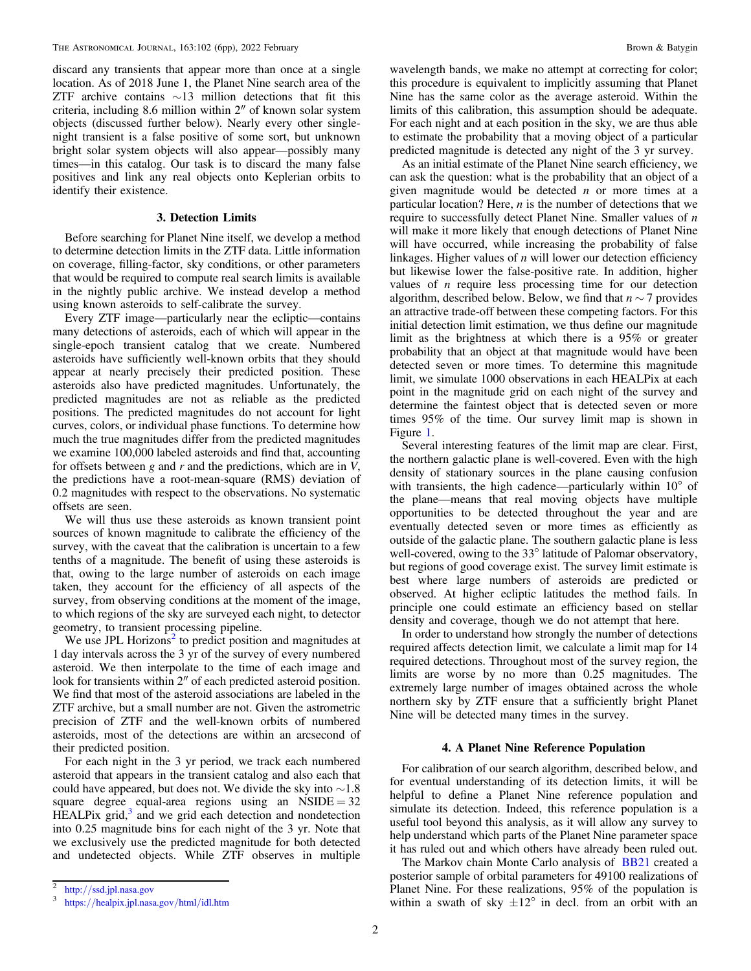discard any transients that appear more than once at a single location. As of 2018 June 1, the Planet Nine search area of the ZTF archive contains  $\sim$ 13 million detections that fit this criteria, including 8.6 million within 2″ of known solar system objects (discussed further below). Nearly every other singlenight transient is a false positive of some sort, but unknown bright solar system objects will also appear—possibly many times—in this catalog. Our task is to discard the many false positives and link any real objects onto Keplerian orbits to identify their existence.

## 3. Detection Limits

Before searching for Planet Nine itself, we develop a method to determine detection limits in the ZTF data. Little information on coverage, filling-factor, sky conditions, or other parameters that would be required to compute real search limits is available in the nightly public archive. We instead develop a method using known asteroids to self-calibrate the survey.

Every ZTF image—particularly near the ecliptic—contains many detections of asteroids, each of which will appear in the single-epoch transient catalog that we create. Numbered asteroids have sufficiently well-known orbits that they should appear at nearly precisely their predicted position. These asteroids also have predicted magnitudes. Unfortunately, the predicted magnitudes are not as reliable as the predicted positions. The predicted magnitudes do not account for light curves, colors, or individual phase functions. To determine how much the true magnitudes differ from the predicted magnitudes we examine 100,000 labeled asteroids and find that, accounting for offsets between  $g$  and  $r$  and the predictions, which are in  $V$ , the predictions have a root-mean-square (RMS) deviation of 0.2 magnitudes with respect to the observations. No systematic offsets are seen.

We will thus use these asteroids as known transient point sources of known magnitude to calibrate the efficiency of the survey, with the caveat that the calibration is uncertain to a few tenths of a magnitude. The benefit of using these asteroids is that, owing to the large number of asteroids on each image taken, they account for the efficiency of all aspects of the survey, from observing conditions at the moment of the image, to which regions of the sky are surveyed each night, to detector geometry, to transient processing pipeline.

We use JPL Horizons $2$  to predict position and magnitudes at 1 day intervals across the 3 yr of the survey of every numbered asteroid. We then interpolate to the time of each image and look for transients within 2″ of each predicted asteroid position. We find that most of the asteroid associations are labeled in the ZTF archive, but a small number are not. Given the astrometric precision of ZTF and the well-known orbits of numbered asteroids, most of the detections are within an arcsecond of their predicted position.

For each night in the 3 yr period, we track each numbered asteroid that appears in the transient catalog and also each that could have appeared, but does not. We divide the sky into ∼1.8 square degree equal-area regions using an  $\text{NSIDE} = 32$  $HEALP$ ix grid, $3$  and we grid each detection and nondetection into 0.25 magnitude bins for each night of the 3 yr. Note that we exclusively use the predicted magnitude for both detected and undetected objects. While ZTF observes in multiple

wavelength bands, we make no attempt at correcting for color; this procedure is equivalent to implicitly assuming that Planet Nine has the same color as the average asteroid. Within the limits of this calibration, this assumption should be adequate. For each night and at each position in the sky, we are thus able to estimate the probability that a moving object of a particular predicted magnitude is detected any night of the 3 yr survey.

As an initial estimate of the Planet Nine search efficiency, we can ask the question: what is the probability that an object of a given magnitude would be detected  $n$  or more times at a particular location? Here,  $n$  is the number of detections that we require to successfully detect Planet Nine. Smaller values of  $n$ will make it more likely that enough detections of Planet Nine will have occurred, while increasing the probability of false linkages. Higher values of  $n$  will lower our detection efficiency but likewise lower the false-positive rate. In addition, higher values of  $n$  require less processing time for our detection algorithm, described below. Below, we find that  $n \sim 7$  provides an attractive trade-off between these competing factors. For this initial detection limit estimation, we thus define our magnitude limit as the brightness at which there is a 95% or greater probability that an object at that magnitude would have been detected seven or more times. To determine this magnitude limit, we simulate 1000 observations in each HEALPix at each point in the magnitude grid on each night of the survey and determine the faintest object that is detected seven or more times 95% of the time. Our survey limit map is shown in Figure [1.](#page-2-0)

Several interesting features of the limit map are clear. First, the northern galactic plane is well-covered. Even with the high density of stationary sources in the plane causing confusion with transients, the high cadence—particularly within 10° of the plane—means that real moving objects have multiple opportunities to be detected throughout the year and are eventually detected seven or more times as efficiently as outside of the galactic plane. The southern galactic plane is less well-covered, owing to the 33° latitude of Palomar observatory, but regions of good coverage exist. The survey limit estimate is best where large numbers of asteroids are predicted or observed. At higher ecliptic latitudes the method fails. In principle one could estimate an efficiency based on stellar density and coverage, though we do not attempt that here.

In order to understand how strongly the number of detections required affects detection limit, we calculate a limit map for 14 required detections. Throughout most of the survey region, the limits are worse by no more than 0.25 magnitudes. The extremely large number of images obtained across the whole northern sky by ZTF ensure that a sufficiently bright Planet Nine will be detected many times in the survey.

## 4. A Planet Nine Reference Population

For calibration of our search algorithm, described below, and for eventual understanding of its detection limits, it will be helpful to define a Planet Nine reference population and simulate its detection. Indeed, this reference population is a useful tool beyond this analysis, as it will allow any survey to help understand which parts of the Planet Nine parameter space it has ruled out and which others have already been ruled out.

The Markov chain Monte Carlo analysis of [BB21](#page-5-0) created a posterior sample of orbital parameters for 49100 realizations of Planet Nine. For these realizations, 95% of the population is within a swath of sky  $\pm 12^{\circ}$  in decl. from an orbit with an

 $\frac{2}{3}$  http://[ssd.jpl.nasa.gov](http://ssd.jpl.nasa.gov)<br>https://[healpix.jpl.nasa.gov](https://healpix.jpl.nasa.gov/html/idl.htm)/html/idl.htm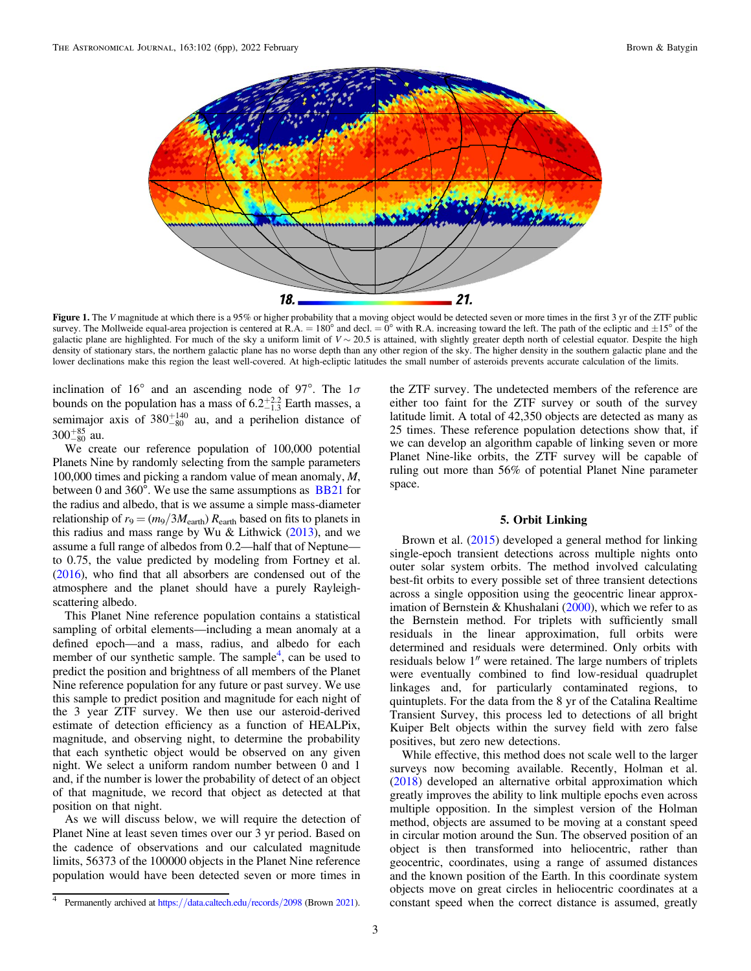<span id="page-2-0"></span>

Figure 1. The V magnitude at which there is a 95% or higher probability that a moving object would be detected seven or more times in the first 3 yr of the ZTF public survey. The Mollweide equal-area projection is centered at R.A. = 180° and decl. = 0° with R.A. increasing toward the left. The path of the ecliptic and  $\pm 15^{\circ}$  of the galactic plane are highlighted. For much of the sky a uniform limit of  $V \sim 20.5$  is attained, with slightly greater depth north of celestial equator. Despite the high density of stationary stars, the northern galactic plane has no worse depth than any other region of the sky. The higher density in the southern galactic plane and the lower declinations make this region the least well-covered. At high-ecliptic latitudes the small number of asteroids prevents accurate calculation of the limits.

inclination of 16° and an ascending node of 97°. The  $1\sigma$ bounds on the population has a mass of  $6.2^{+2.2}_{-1.3}$  Earth masses, a semimajor axis of  $380^{+140}_{-80}$  au, and a perihelion distance of  $300^{+85}_{-80}$  au.

We create our reference population of 100,000 potential Planets Nine by randomly selecting from the sample parameters 100,000 times and picking a random value of mean anomaly, M, between 0 and  $360^\circ$ . We use the same assumptions as  $BB21$  for the radius and albedo, that is we assume a simple mass-diameter relationship of  $r_9 = (m_9/3M_{\text{earth}}) R_{\text{earth}}$  based on fits to planets in this radius and mass range by Wu & Lithwick  $(2013)$  $(2013)$  $(2013)$ , and we assume a full range of albedos from 0.2—half that of Neptune to 0.75, the value predicted by modeling from Fortney et al. ([2016](#page-5-0)), who find that all absorbers are condensed out of the atmosphere and the planet should have a purely Rayleighscattering albedo.

This Planet Nine reference population contains a statistical sampling of orbital elements—including a mean anomaly at a defined epoch—and a mass, radius, and albedo for each member of our synthetic sample. The sample<sup>4</sup>, can be used to predict the position and brightness of all members of the Planet Nine reference population for any future or past survey. We use this sample to predict position and magnitude for each night of the 3 year ZTF survey. We then use our asteroid-derived estimate of detection efficiency as a function of HEALPix, magnitude, and observing night, to determine the probability that each synthetic object would be observed on any given night. We select a uniform random number between 0 and 1 and, if the number is lower the probability of detect of an object of that magnitude, we record that object as detected at that position on that night.

As we will discuss below, we will require the detection of Planet Nine at least seven times over our 3 yr period. Based on the cadence of observations and our calculated magnitude limits, 56373 of the 100000 objects in the Planet Nine reference population would have been detected seven or more times in

the ZTF survey. The undetected members of the reference are either too faint for the ZTF survey or south of the survey latitude limit. A total of 42,350 objects are detected as many as 25 times. These reference population detections show that, if we can develop an algorithm capable of linking seven or more Planet Nine-like orbits, the ZTF survey will be capable of ruling out more than 56% of potential Planet Nine parameter space.

### 5. Orbit Linking

Brown et al. ([2015](#page-5-0)) developed a general method for linking single-epoch transient detections across multiple nights onto outer solar system orbits. The method involved calculating best-fit orbits to every possible set of three transient detections across a single opposition using the geocentric linear approx-imation of Bernstein & Khushalani ([2000](#page-5-0)), which we refer to as the Bernstein method. For triplets with sufficiently small residuals in the linear approximation, full orbits were determined and residuals were determined. Only orbits with residuals below 1″ were retained. The large numbers of triplets were eventually combined to find low-residual quadruplet linkages and, for particularly contaminated regions, to quintuplets. For the data from the 8 yr of the Catalina Realtime Transient Survey, this process led to detections of all bright Kuiper Belt objects within the survey field with zero false positives, but zero new detections.

While effective, this method does not scale well to the larger surveys now becoming available. Recently, Holman et al. ([2018](#page-5-0)) developed an alternative orbital approximation which greatly improves the ability to link multiple epochs even across multiple opposition. In the simplest version of the Holman method, objects are assumed to be moving at a constant speed in circular motion around the Sun. The observed position of an object is then transformed into heliocentric, rather than geocentric, coordinates, using a range of assumed distances and the known position of the Earth. In this coordinate system objects move on great circles in heliocentric coordinates at a constant speed when the correct distance is assumed, greatly

Permanently archived at https://[data.caltech.edu](https://data.caltech.edu/records/2098)/records/2098 (Brown [2021](#page-5-0)).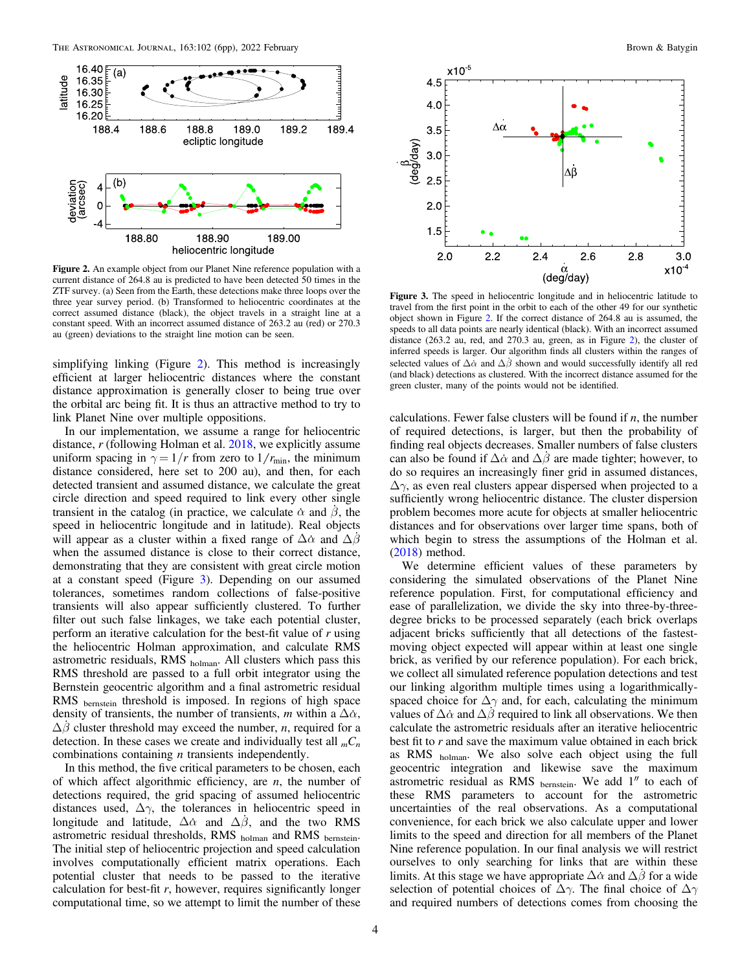<span id="page-3-0"></span>

Figure 2. An example object from our Planet Nine reference population with a current distance of 264.8 au is predicted to have been detected 50 times in the ZTF survey. (a) Seen from the Earth, these detections make three loops over the three year survey period. (b) Transformed to heliocentric coordinates at the correct assumed distance (black), the object travels in a straight line at a constant speed. With an incorrect assumed distance of 263.2 au (red) or 270.3 au (green) deviations to the straight line motion can be seen.

simplifying linking (Figure 2). This method is increasingly efficient at larger heliocentric distances where the constant distance approximation is generally closer to being true over the orbital arc being fit. It is thus an attractive method to try to link Planet Nine over multiple oppositions.

In our implementation, we assume a range for heliocentric distance,  $r$  (following Holman et al.  $2018$ , we explicitly assume uniform spacing in  $\gamma = 1/r$  from zero to  $1/r_{\text{min}}$ , the minimum distance considered, here set to 200 au), and then, for each detected transient and assumed distance, we calculate the great circle direction and speed required to link every other single transient in the catalog (in practice, we calculate  $\dot{\alpha}$  and  $\dot{\beta}$ , the speed in heliocentric longitude and in latitude). Real objects will appear as a cluster within a fixed range of  $\Delta \alpha$  and  $\Delta \beta$ when the assumed distance is close to their correct distance, demonstrating that they are consistent with great circle motion at a constant speed (Figure 3). Depending on our assumed tolerances, sometimes random collections of false-positive transients will also appear sufficiently clustered. To further filter out such false linkages, we take each potential cluster, perform an iterative calculation for the best-fit value of r using the heliocentric Holman approximation, and calculate RMS astrometric residuals, RMS holman. All clusters which pass this RMS threshold are passed to a full orbit integrator using the Bernstein geocentric algorithm and a final astrometric residual RMS bernstein threshold is imposed. In regions of high space density of transients, the number of transients, m within a  $\Delta \alpha$ ,  $\Delta\beta$  cluster threshold may exceed the number, *n*, required for a detection. In these cases we create and individually test all  ${}_{m}C_{n}$ combinations containing  $n$  transients independently.

In this method, the five critical parameters to be chosen, each of which affect algorithmic efficiency, are  $n$ , the number of detections required, the grid spacing of assumed heliocentric distances used,  $\Delta \gamma$ , the tolerances in heliocentric speed in longitude and latitude,  $\Delta \alpha$  and  $\Delta \beta$ , and the two RMS astrometric residual thresholds, RMS holman and RMS bernstein. The initial step of heliocentric projection and speed calculation involves computationally efficient matrix operations. Each potential cluster that needs to be passed to the iterative calculation for best-fit  $r$ , however, requires significantly longer computational time, so we attempt to limit the number of these



Figure 3. The speed in heliocentric longitude and in heliocentric latitude to travel from the first point in the orbit to each of the other 49 for our synthetic object shown in Figure 2. If the correct distance of 264.8 au is assumed, the speeds to all data points are nearly identical (black). With an incorrect assumed distance (263.2 au, red, and 270.3 au, green, as in Figure 2), the cluster of inferred speeds is larger. Our algorithm finds all clusters within the ranges of selected values of  $\Delta\dot{\alpha}$  and  $\Delta\dot{\beta}$  shown and would successfully identify all red (and black) detections as clustered. With the incorrect distance assumed for the green cluster, many of the points would not be identified.

calculations. Fewer false clusters will be found if  $n$ , the number of required detections, is larger, but then the probability of finding real objects decreases. Smaller numbers of false clusters can also be found if  $\Delta \dot{\alpha}$  and  $\Delta \beta$  are made tighter; however, to do so requires an increasingly finer grid in assumed distances,  $\Delta \gamma$ , as even real clusters appear dispersed when projected to a sufficiently wrong heliocentric distance. The cluster dispersion problem becomes more acute for objects at smaller heliocentric distances and for observations over larger time spans, both of which begin to stress the assumptions of the Holman et al. ([2018](#page-5-0)) method.

We determine efficient values of these parameters by considering the simulated observations of the Planet Nine reference population. First, for computational efficiency and ease of parallelization, we divide the sky into three-by-threedegree bricks to be processed separately (each brick overlaps adjacent bricks sufficiently that all detections of the fastestmoving object expected will appear within at least one single brick, as verified by our reference population). For each brick, we collect all simulated reference population detections and test our linking algorithm multiple times using a logarithmicallyspaced choice for  $\Delta\gamma$  and, for each, calculating the minimum values of  $\Delta \dot{\alpha}$  and  $\Delta \beta$  required to link all observations. We then calculate the astrometric residuals after an iterative heliocentric best fit to  $r$  and save the maximum value obtained in each brick as RMS holman. We also solve each object using the full geocentric integration and likewise save the maximum astrometric residual as RMS bernstein. We add 1″ to each of these RMS parameters to account for the astrometric uncertainties of the real observations. As a computational convenience, for each brick we also calculate upper and lower limits to the speed and direction for all members of the Planet Nine reference population. In our final analysis we will restrict ourselves to only searching for links that are within these limits. At this stage we have appropriate  $\Delta \alpha$  and  $\Delta \beta$  for a wide selection of potential choices of  $\Delta\gamma$ . The final choice of  $\Delta\gamma$ and required numbers of detections comes from choosing the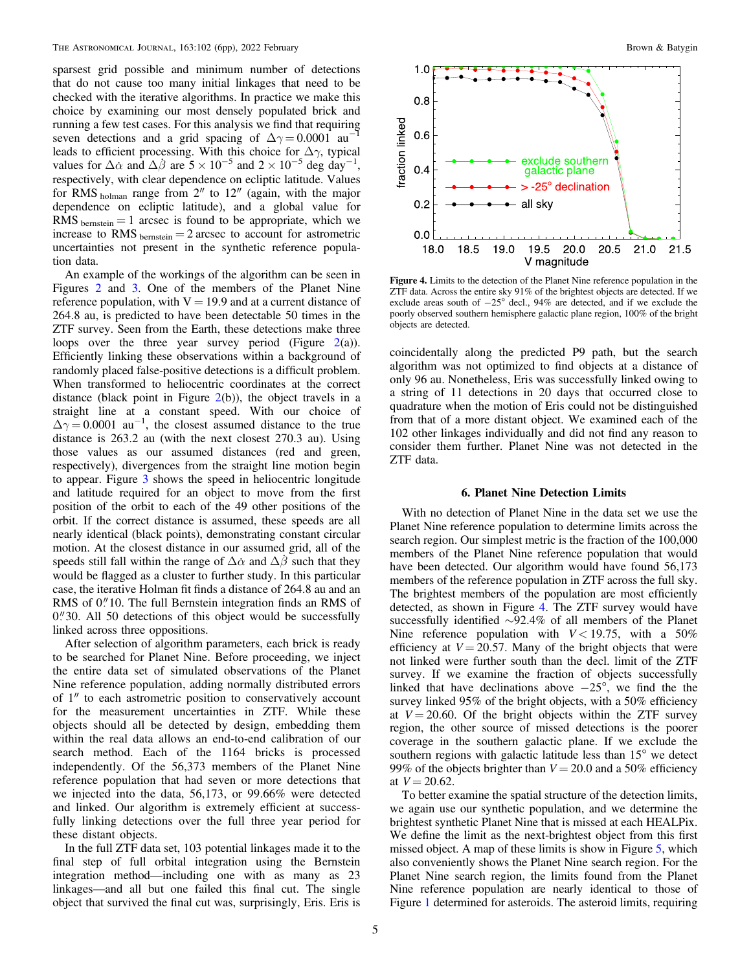<span id="page-4-0"></span>sparsest grid possible and minimum number of detections that do not cause too many initial linkages that need to be checked with the iterative algorithms. In practice we make this choice by examining our most densely populated brick and running a few test cases. For this analysis we find that requiring seven detections and a grid spacing of  $\Delta \gamma = 0.0001$  au<sup>-1</sup> leads to efficient processing. With this choice for  $\Delta \gamma$ , typical values for  $\Delta \dot{\alpha}$  and  $\Delta \dot{\beta}$  are  $5 \times 10^{-5}$  and  $2 \times 10^{-5}$  deg day<sup>-1</sup>, respectively, with clear dependence on ecliptic latitude. Values for RMS holman range from 2″ to 12″ (again, with the major dependence on ecliptic latitude), and a global value for RMS  $_{\text{bernstein}} = 1$  arcsec is found to be appropriate, which we increase to RMS  $_{\text{bernstein}} = 2$  arcsec to account for astrometric uncertainties not present in the synthetic reference population data.

An example of the workings of the algorithm can be seen in Figures [2](#page-3-0) and [3.](#page-3-0) One of the members of the Planet Nine reference population, with  $V = 19.9$  and at a current distance of 264.8 au, is predicted to have been detectable 50 times in the ZTF survey. Seen from the Earth, these detections make three loops over the three year survey period (Figure  $2(a)$  $2(a)$ ). Efficiently linking these observations within a background of randomly placed false-positive detections is a difficult problem. When transformed to heliocentric coordinates at the correct distance (black point in Figure  $2(b)$  $2(b)$ ), the object travels in a straight line at a constant speed. With our choice of  $\Delta\gamma = 0.0001$  au<sup>-1</sup>, the closest assumed distance to the true distance is 263.2 au (with the next closest 270.3 au). Using those values as our assumed distances (red and green, respectively), divergences from the straight line motion begin to appear. Figure [3](#page-3-0) shows the speed in heliocentric longitude and latitude required for an object to move from the first position of the orbit to each of the 49 other positions of the orbit. If the correct distance is assumed, these speeds are all nearly identical (black points), demonstrating constant circular motion. At the closest distance in our assumed grid, all of the speeds still fall within the range of  $\Delta\alpha$  and  $\Delta\beta$  such that they would be flagged as a cluster to further study. In this particular case, the iterative Holman fit finds a distance of 264.8 au and an RMS of 0."10. The full Bernstein integration finds an RMS of  $0$ . All 50 detections of this object would be successfully linked across three oppositions.

After selection of algorithm parameters, each brick is ready to be searched for Planet Nine. Before proceeding, we inject the entire data set of simulated observations of the Planet Nine reference population, adding normally distributed errors of 1″ to each astrometric position to conservatively account for the measurement uncertainties in ZTF. While these objects should all be detected by design, embedding them within the real data allows an end-to-end calibration of our search method. Each of the 1164 bricks is processed independently. Of the 56,373 members of the Planet Nine reference population that had seven or more detections that we injected into the data, 56,173, or 99.66% were detected and linked. Our algorithm is extremely efficient at successfully linking detections over the full three year period for these distant objects.

In the full ZTF data set, 103 potential linkages made it to the final step of full orbital integration using the Bernstein integration method—including one with as many as 23 linkages—and all but one failed this final cut. The single object that survived the final cut was, surprisingly, Eris. Eris is



Figure 4. Limits to the detection of the Planet Nine reference population in the ZTF data. Across the entire sky 91% of the brightest objects are detected. If we exclude areas south of −25° decl., 94% are detected, and if we exclude the poorly observed southern hemisphere galactic plane region, 100% of the bright objects are detected.

coincidentally along the predicted P9 path, but the search algorithm was not optimized to find objects at a distance of only 96 au. Nonetheless, Eris was successfully linked owing to a string of 11 detections in 20 days that occurred close to quadrature when the motion of Eris could not be distinguished from that of a more distant object. We examined each of the 102 other linkages individually and did not find any reason to consider them further. Planet Nine was not detected in the ZTF data.

### 6. Planet Nine Detection Limits

With no detection of Planet Nine in the data set we use the Planet Nine reference population to determine limits across the search region. Our simplest metric is the fraction of the 100,000 members of the Planet Nine reference population that would have been detected. Our algorithm would have found 56,173 members of the reference population in ZTF across the full sky. The brightest members of the population are most efficiently detected, as shown in Figure 4. The ZTF survey would have successfully identified ∼92.4% of all members of the Planet Nine reference population with  $V < 19.75$ , with a 50% efficiency at  $V = 20.57$ . Many of the bright objects that were not linked were further south than the decl. limit of the ZTF survey. If we examine the fraction of objects successfully linked that have declinations above −25°, we find the the survey linked 95% of the bright objects, with a 50% efficiency at  $V = 20.60$ . Of the bright objects within the ZTF survey region, the other source of missed detections is the poorer coverage in the southern galactic plane. If we exclude the southern regions with galactic latitude less than 15° we detect 99% of the objects brighter than  $V = 20.0$  and a 50% efficiency at  $V = 20.62$ .

To better examine the spatial structure of the detection limits, we again use our synthetic population, and we determine the brightest synthetic Planet Nine that is missed at each HEALPix. We define the limit as the next-brightest object from this first missed object. A map of these limits is show in Figure [5,](#page-5-0) which also conveniently shows the Planet Nine search region. For the Planet Nine search region, the limits found from the Planet Nine reference population are nearly identical to those of Figure [1](#page-2-0) determined for asteroids. The asteroid limits, requiring